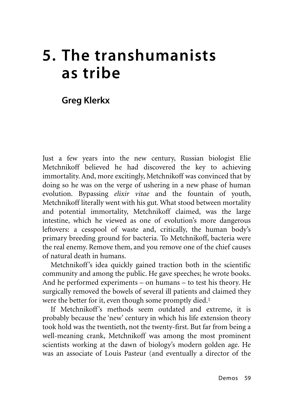# **5. The transhumanists as tribe**

## **Greg Klerkx**

Just a few years into the new century, Russian biologist Elie Metchnikoff believed he had discovered the key to achieving immortality. And, more excitingly, Metchnikoff was convinced that by doing so he was on the verge of ushering in a new phase of human evolution. Bypassing *elixir vitae* and the fountain of youth, Metchnikoff literally went with his gut. What stood between mortality and potential immortality, Metchnikoff claimed, was the large intestine, which he viewed as one of evolution's more dangerous leftovers: a cesspool of waste and, critically, the human body's primary breeding ground for bacteria. To Metchnikoff, bacteria were the real enemy. Remove them, and you remove one of the chief causes of natural death in humans.

Metchnikoff's idea quickly gained traction both in the scientific community and among the public. He gave speeches; he wrote books. And he performed experiments – on humans – to test his theory. He surgically removed the bowels of several ill patients and claimed they were the better for it, even though some promptly died.1

If Metchnikoff's methods seem outdated and extreme, it is probably because the 'new' century in which his life extension theory took hold was the twentieth, not the twenty-first. But far from being a well-meaning crank, Metchnikoff was among the most prominent scientists working at the dawn of biology's modern golden age. He was an associate of Louis Pasteur (and eventually a director of the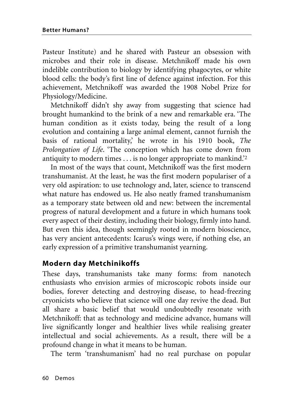Pasteur Institute) and he shared with Pasteur an obsession with microbes and their role in disease. Metchnikoff made his own indelible contribution to biology by identifying phagocytes, or white blood cells: the body's first line of defence against infection. For this achievement, Metchnikoff was awarded the 1908 Nobel Prize for Physiology/Medicine.

Metchnikoff didn't shy away from suggesting that science had brought humankind to the brink of a new and remarkable era. 'The human condition as it exists today, being the result of a long evolution and containing a large animal element, cannot furnish the basis of rational mortality,' he wrote in his 1910 book, *The Prolongation of Life*. 'The conception which has come down from antiquity to modern times . . . is no longer appropriate to mankind.'2

In most of the ways that count, Metchnikoff was the first modern transhumanist. At the least, he was the first modern populariser of a very old aspiration: to use technology and, later, science to transcend what nature has endowed us. He also neatly framed transhumanism as a temporary state between old and new: between the incremental progress of natural development and a future in which humans took every aspect of their destiny, including their biology, firmly into hand. But even this idea, though seemingly rooted in modern bioscience, has very ancient antecedents: Icarus's wings were, if nothing else, an early expression of a primitive transhumanist yearning.

### **Modern day Metchinikoffs**

These days, transhumanists take many forms: from nanotech enthusiasts who envision armies of microscopic robots inside our bodies, forever detecting and destroying disease, to head-freezing cryonicists who believe that science will one day revive the dead. But all share a basic belief that would undoubtedly resonate with Metchnikoff: that as technology and medicine advance, humans will live significantly longer and healthier lives while realising greater intellectual and social achievements. As a result, there will be a profound change in what it means to be human.

The term 'transhumanism' had no real purchase on popular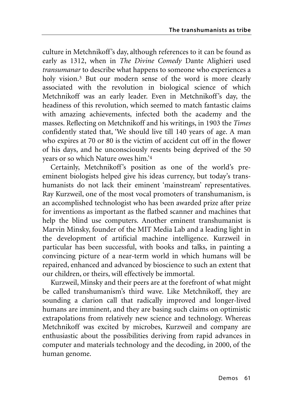culture in Metchnikoff's day, although references to it can be found as early as 1312, when in *The Divine Comedy* Dante Alighieri used *transumanar* to describe what happens to someone who experiences a holy vision.3 But our modern sense of the word is more clearly associated with the revolution in biological science of which Metchnikoff was an early leader. Even in Metchnikoff's day, the headiness of this revolution, which seemed to match fantastic claims with amazing achievements, infected both the academy and the masses. Reflecting on Metchnikoff and his writings, in 1903 the *Times* confidently stated that, 'We should live till 140 years of age. A man who expires at 70 or 80 is the victim of accident cut off in the flower of his days, and he unconsciously resents being deprived of the 50 years or so which Nature owes him.'4

Certainly, Metchnikoff's position as one of the world's preeminent biologists helped give his ideas currency, but today's transhumanists do not lack their eminent 'mainstream' representatives. Ray Kurzweil, one of the most vocal promoters of transhumanism, is an accomplished technologist who has been awarded prize after prize for inventions as important as the flatbed scanner and machines that help the blind use computers. Another eminent transhumanist is Marvin Minsky, founder of the MIT Media Lab and a leading light in the development of artificial machine intelligence. Kurzweil in particular has been successful, with books and talks, in painting a convincing picture of a near-term world in which humans will be repaired, enhanced and advanced by bioscience to such an extent that our children, or theirs, will effectively be immortal.

Kurzweil, Minsky and their peers are at the forefront of what might be called transhumanism's third wave. Like Metchnikoff, they are sounding a clarion call that radically improved and longer-lived humans are imminent, and they are basing such claims on optimistic extrapolations from relatively new science and technology. Whereas Metchnikoff was excited by microbes, Kurzweil and company are enthusiastic about the possibilities deriving from rapid advances in computer and materials technology and the decoding, in 2000, of the human genome.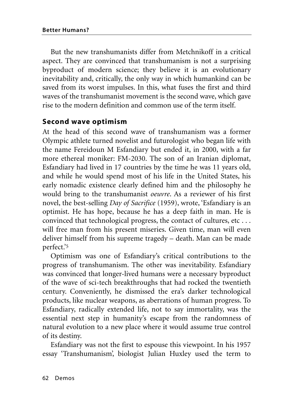But the new transhumanists differ from Metchnikoff in a critical aspect. They are convinced that transhumanism is not a surprising byproduct of modern science; they believe it is an evolutionary inevitability and, critically, the only way in which humankind can be saved from its worst impulses. In this, what fuses the first and third waves of the transhumanist movement is the second wave, which gave rise to the modern definition and common use of the term itself.

### **Second wave optimism**

At the head of this second wave of transhumanism was a former Olympic athlete turned novelist and futurologist who began life with the name Fereidoun M Esfandiary but ended it, in 2000, with a far more ethereal moniker: FM-2030. The son of an Iranian diplomat, Esfandiary had lived in 17 countries by the time he was 11 years old, and while he would spend most of his life in the United States, his early nomadic existence clearly defined him and the philosophy he would bring to the transhumanist *oeuvre*. As a reviewer of his first novel, the best-selling *Day of Sacrifice* (1959), wrote, 'Esfandiary is an optimist. He has hope, because he has a deep faith in man. He is convinced that technological progress, the contact of cultures, etc . . . will free man from his present miseries. Given time, man will even deliver himself from his supreme tragedy – death. Man can be made perfect.'5

Optimism was one of Esfandiary's critical contributions to the progress of transhumanism. The other was inevitability. Esfandiary was convinced that longer-lived humans were a necessary byproduct of the wave of sci-tech breakthroughs that had rocked the twentieth century. Conveniently, he dismissed the era's darker technological products, like nuclear weapons, as aberrations of human progress. To Esfandiary, radically extended life, not to say immortality, was the essential next step in humanity's escape from the randomness of natural evolution to a new place where it would assume true control of its destiny.

Esfandiary was not the first to espouse this viewpoint. In his 1957 essay 'Transhumanism', biologist Julian Huxley used the term to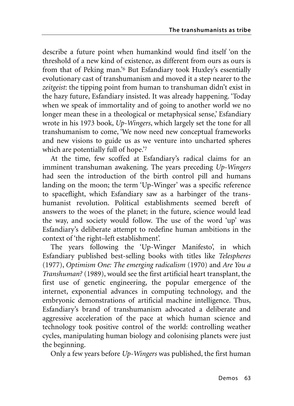describe a future point when humankind would find itself 'on the threshold of a new kind of existence, as different from ours as ours is from that of Peking man.'6 But Esfandiary took Huxley's essentially evolutionary cast of transhumanism and moved it a step nearer to the *zeitgeist*: the tipping point from human to transhuman didn't exist in the hazy future, Esfandiary insisted. It was already happening. 'Today when we speak of immortality and of going to another world we no longer mean these in a theological or metaphysical sense,' Esfandiary wrote in his 1973 book, *Up-Wingers*, which largely set the tone for all transhumanism to come, 'We now need new conceptual frameworks and new visions to guide us as we venture into uncharted spheres which are potentially full of hope.'7

At the time, few scoffed at Esfandiary's radical claims for an imminent transhuman awakening. The years preceding *Up-Wingers* had seen the introduction of the birth control pill and humans landing on the moon; the term 'Up-Winger' was a specific reference to spaceflight, which Esfandiary saw as a harbinger of the transhumanist revolution. Political establishments seemed bereft of answers to the woes of the planet; in the future, science would lead the way, and society would follow. The use of the word 'up' was Esfandiary's deliberate attempt to redefine human ambitions in the context of 'the right–left establishment'.

The years following the 'Up-Winger Manifesto', in which Esfandiary published best-selling books with titles like *Telespheres* (1977), *Optimism One: The emerging radicalism* (1970) and *Are You a Transhuman?* (1989), would see the first artificial heart transplant, the first use of genetic engineering, the popular emergence of the internet, exponential advances in computing technology, and the embryonic demonstrations of artificial machine intelligence. Thus, Esfandiary's brand of transhumanism advocated a deliberate and aggressive acceleration of the pace at which human science and technology took positive control of the world: controlling weather cycles, manipulating human biology and colonising planets were just the beginning.

Only a few years before *Up-Wingers* was published, the first human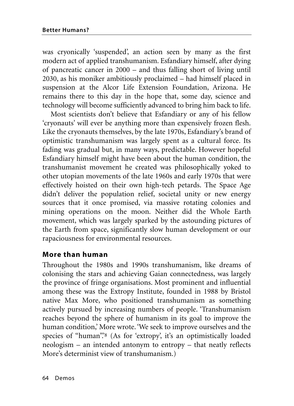was cryonically 'suspended', an action seen by many as the first modern act of applied transhumanism. Esfandiary himself, after dying of pancreatic cancer in 2000 – and thus falling short of living until 2030, as his moniker ambitiously proclaimed – had himself placed in suspension at the Alcor Life Extension Foundation, Arizona. He remains there to this day in the hope that, some day, science and technology will become sufficiently advanced to bring him back to life.

Most scientists don't believe that Esfandiary or any of his fellow 'cryonauts' will ever be anything more than expensively frozen flesh. Like the cryonauts themselves, by the late 1970s, Esfandiary's brand of optimistic transhumanism was largely spent as a cultural force. Its fading was gradual but, in many ways, predictable. However hopeful Esfandiary himself might have been about the human condition, the transhumanist movement he created was philosophically yoked to other utopian movements of the late 1960s and early 1970s that were effectively hoisted on their own high-tech petards. The Space Age didn't deliver the population relief, societal unity or new energy sources that it once promised, via massive rotating colonies and mining operations on the moon. Neither did the Whole Earth movement, which was largely sparked by the astounding pictures of the Earth from space, significantly slow human development or our rapaciousness for environmental resources.

#### **More than human**

Throughout the 1980s and 1990s transhumanism, like dreams of colonising the stars and achieving Gaian connectedness, was largely the province of fringe organisations. Most prominent and influential among these was the Extropy Institute, founded in 1988 by Bristol native Max More, who positioned transhumanism as something actively pursued by increasing numbers of people. 'Transhumanism reaches beyond the sphere of humanism in its goal to improve the human condition,' More wrote. 'We seek to improve ourselves and the species of "human".<sup>8</sup> (As for 'extropy', it's an optimistically loaded neologism – an intended antonym to entropy – that neatly reflects More's determinist view of transhumanism.)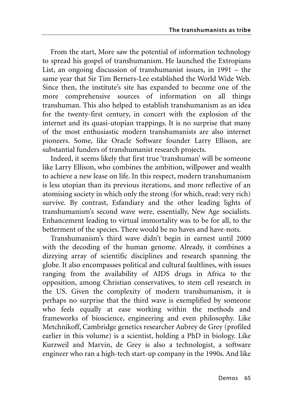From the start, More saw the potential of information technology to spread his gospel of transhumanism. He launched the Extropians List, an ongoing discussion of transhumanist issues, in 1991 – the same year that Sir Tim Berners-Lee established the World Wide Web. Since then, the institute's site has expanded to become one of the more comprehensive sources of information on all things transhuman. This also helped to establish transhumanism as an idea for the twenty-first century, in concert with the explosion of the internet and its quasi-utopian trappings. It is no surprise that many of the most enthusiastic modern transhumanists are also internet pioneers. Some, like Oracle Software founder Larry Ellison, are substantial funders of transhumanist research projects.

Indeed, it seems likely that first true 'transhuman' will be someone like Larry Ellison, who combines the ambition, willpower and wealth to achieve a new lease on life. In this respect, modern transhumanism is less utopian than its previous iterations, and more reflective of an atomising society in which only the strong (for which, read: very rich) survive. By contrast, Esfandiary and the other leading lights of transhumanism's second wave were, essentially, New Age socialists. Enhancement leading to virtual immortality was to be for all, to the betterment of the species. There would be no haves and have-nots.

Transhumanism's third wave didn't begin in earnest until 2000 with the decoding of the human genome. Already, it combines a dizzying array of scientific disciplines and research spanning the globe. It also encompasses political and cultural faultlines, with issues ranging from the availability of AIDS drugs in Africa to the opposition, among Christian conservatives, to stem cell research in the US. Given the complexity of modern transhumanism, it is perhaps no surprise that the third wave is exemplified by someone who feels equally at ease working within the methods and frameworks of bioscience, engineering and even philosophy. Like Metchnikoff, Cambridge genetics researcher Aubrey de Grey (profiled earlier in this volume) is a scientist, holding a PhD in biology. Like Kurzweil and Marvin, de Grey is also a technologist, a software engineer who ran a high-tech start-up company in the 1990s. And like